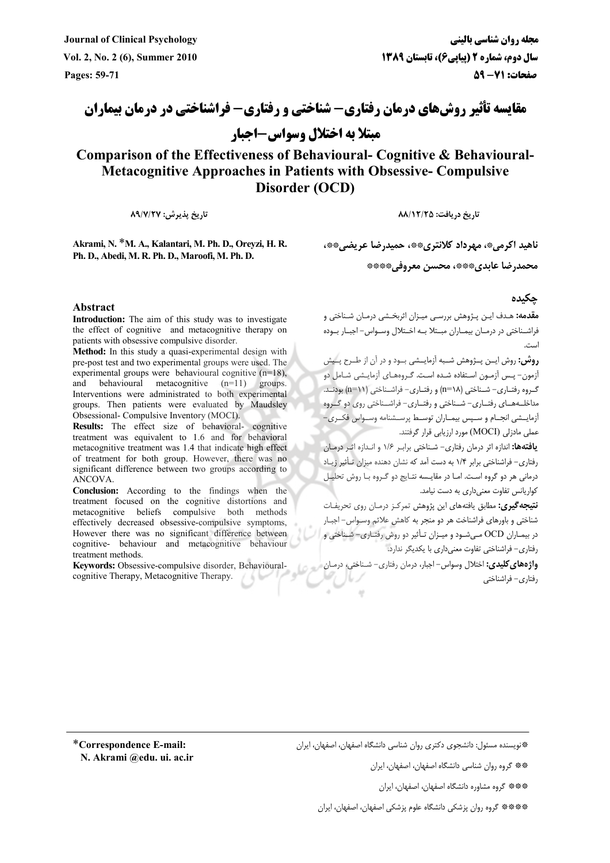**Journal of Clinical Psychology % -**

**مجله ر Vol. 2, No. 2 (6), Summer 2010 1389 \* 6( - 2) ) \* - !
 ( Pages: 59-71 4
567 :71-59**

**مقایسه تأثیر روشهای درمان رفتاری- شناختی و رفتاری- فراشناختی در درمان بیماران مبتلا به اختلال وسواس-اجبار** 

**Comparison of the Effectiveness of Behavioural- Cognitive & Behavioural-Metacognitive Approaches in Patients with Obsessive- Compulsive Disorder (OCD)**

**:27/7/89 -**

 **:25/12/88 - -**

**Akrami, N.** \***M. A., Kalantari, M. Ph. D., Oreyzi, H. R. Ph. D., Abedi, M. R. Ph. D., Maroofi, M. Ph. D.** 

ناهید اکرمی\*، مهرداد کلانتری\*\*، حمیدرضا عریضی\*\*\*،

\*\*\*\* **\*+ ,-)** \*\*\***(-\$ -%&)**

## **Abstract**

**Introduction:** The aim of this study was to investigate the effect of cognitive and metacognitive therapy on patients with obsessive compulsive disorder.

**Method:** In this study a quasi-experimental design with pre-post test and two experimental groups were used. The experimental groups were behavioural cognitive (n=18), and behavioural metacognitive (n=11) groups. Interventions were administrated to both experimental groups. Then patients were evaluated by Maudsley Obsessional- Compulsive Inventory (MOCI).

**Results:** The effect size of behavioral- cognitive treatment was equivalent to 1.6 and for behavioral metacognitive treatment was 1.4 that indicate high effect of treatment for both group. However, there was no significant difference between two groups according to ANCOVA.

**Conclusion:** According to the findings when the treatment focused on the cognitive distortions and metacognitive beliefs compulsive both methods effectively decreased obsessive-compulsive symptoms, However there was no significant difference between cognitive- behaviour and metacognitive behaviour treatment methods.

**Keywords:** Obsessive-compulsive disorder, Behaviouralcognitive Therapy, Metacognitive Therapy.

**0 ./**

**مقدمه:** هـدف ايـن پـژوهش بررسـي ميـزان اثربخـشي درمـان شـناختي و فراشــناختى در درمــان بيمــاران مبــتلا بــه اخــتلال وســواس– اجبــار بــوده ..<br>است.

**روش:** روش ایــن پــژوهش شــبه آزمایــشی بــود و در آن از طــرح پــیش آزمون– پـس آزمـون اسـتفاده شـده اسـت. گـروههـاى آزمايـشى شـامل دو گروه رفتـاري- شـناختي (n=۱۸) و رفتـاري- فراشـناختي (n=۱۱) بودنـد. مداخلــههــاى رفتــارى– شــناختى و رفتــارى– فراشــناختى روى دو گــروه آزمایــشی انجــام و ســپس بیمــاران توســط پرســشنامه وســواس فکــری– عملی مادزلی (MOCI) مورد ارزیابی قرار گرفتند.

**يافتهها:** اندازه اثر درمان رفتارى– شـناختى برابـر ۱/۶ و انـدازه اثـر درمـان رفتاری– فراشناختی برابر ۱/۴ به دست آمد که نشان دهنده میزان تـأثیر زیــاد درمانی هر دو گروه است. امـا در مقایـسه نتـایج دو گـروه بـا روش تحلیـل کواریانس تفاوت معنی داری به دست نیامد.

**نتیجه گیری:** مطابق یافتههای این پژوهش تمرکـز درمـان روی تحریفـات شناختی و باورهای فراشناخت هر دو منجر به کاهش علائم وسـواس– اجبـار در بیمـاران OCD مـیشـود و میـزان تـأثیر دو روش رفتـاری- شـناختی و رفتاری– فراشناختی تفاوت معنی داری با یکدیگر ندارد.

**واژههای کلیدی:** اختلال وسواس– اجبار، درمان رفتاری– شـناختی، درمـان رفتاري- فراشناختي

\***Correspondence E-mail: N. Akrami @edu. ui. ac.ir**  \*فنويسنده مسئول: دانشجوي دكترى روان شناسي دانشگاه اصفهان، اصفهان، ايران

\*\*\* گروه روان شناسی دانشگاه اصفهان، اصفهان، ایران

\*\*\*\* گروه مشاوره دانشگاه اصفهان، اصفهان، ايران

\*\*\*\*\* گروه روان پزشکی دانشگاه علوم پزشکی اصفهان، اصفهان، ایران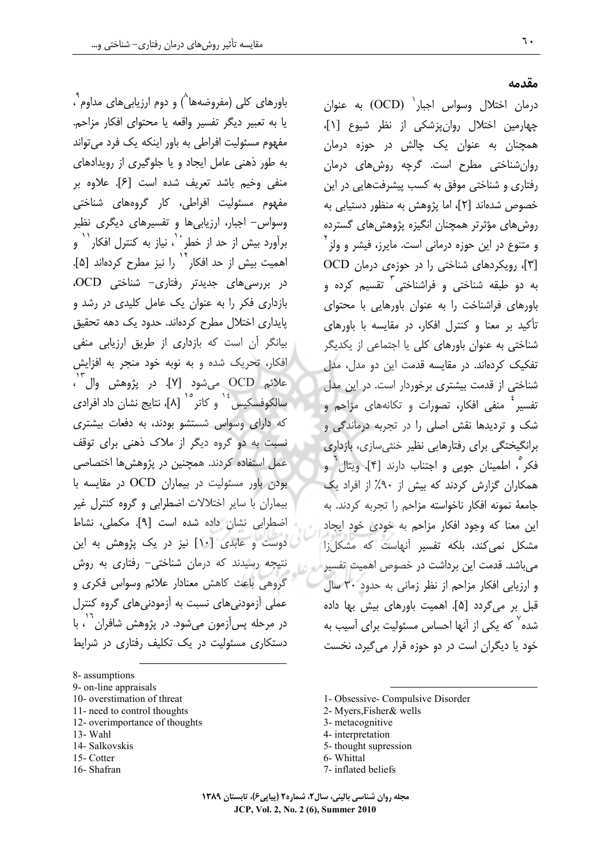باورهای کلی (مفروضهها<sup>^</sup>) و دوم ارزیابیهای مداوم<sup>۹</sup>، يا به تعبير ديگر تفسير واقعه يا محتواي افكار مزاحم. مفهوم مسئولیت افراطی به باور اینکه یک فرد می تواند به طور ذهنی عامل ایجاد و یا جلوگیری از رویدادهای منفي وخيم باشد تعريف شده است [۶]. علاوه بر مفهوم مسئولیت افراطی، کار گروههای شناختی وسواس- اجبار، ارزیابی ها و تفسیرهای دیگری نظیر برآورد بیش از حد از خطر ``، نیاز به کنترل افکار `` و اهمیت بیش از حد افکار<sup>۱٬</sup> را نیز مطرح کردهاند [۵].  $OCD$  (در بررسی های جدیدتر رفتاری- شناختی بازداری فکر را به عنوان یک عامل کلیدی در رشد و یایداری اختلال مطرح کردهاند. حدود یک دهه تحقیق بیانگر آن است که بازداری از طریق ارزیابی منفی افکار، تحریک شده و به نوبه خود منجر به افزایش علائم OCD ميشود [٧]. در پژوهش وال ``، سالکوفسکیس <sup>۱٤</sup> و کاتر<sup> ۱۰</sup> [۸]، نتایج نشان داد افراد*ی* که دارای وسواس شستشو بودند، به دفعات بیشتری نسبت به دو گروه دیگر از ملاک ذهنی برای توقف عمل استفاده کردند. همچنین در پژوهش ها اختصاصی بودن باور مسئولیت در بیماران OCD در مقایسه با بیماران با سایر اختلالات اضطرابی و گروه کنترل غیر اضطرابي نشان داده شده است [۹]. مكملي، نشاط دوست و عابدی [۱۰] نیز در یک پژوهش به این نتیجه رسیدند که درمان شناختی- رفتاری به روش گروهی باعث کاهش معنادار علائم وسواس فکری و عملی آزمودنی های نسبت به آزمودنی های گروه کنترل در مرحله پس آزمون مے شود. در پژوهش شافران` ٰ، با دستکاری مسئولیت در یک تکلیف رفتاری در شرایط

8- assumptions

- 9- on-line appraisals
- 10- overstimation of threat
- 11- need to control thoughts
- 12- overimportance of thoughts 13- Wahl
- 
- 14- Salkovskis
- 15-Cotter
- 16-Shafran

مقدمه

درمان اختلال وسواس اجبار<sup>\</sup> (OCD) به عنوان چهارمین اختلال روانپزشکی از نظر شیوع [۱]، همچنان به عنوان یک چالش در حوزه درمان روان شناختی مطرح است. گرچه روش های درمان رفتاری و شناختی موفق به کسب پیشرفتهایی در این خصوص شدهاند [۲]، اما پژوهش به منظور دستیابی به روش های مؤثرتر همچنان انگیزه پژوهش های گسترده و متنوع در این حوزه درمانی است. مایرز، فیشر و ولز ٔ [۳]، رویکردهای شناختی را در جوزهی درمان OCD به دو طبقه شناختی و فراشناختی<sup>۲</sup> تقسیم کرده و باورهای فراشناخت را به عنوان باورهایی با محتوای تأکید بر معنا و کنترل افکار، در مقایسه با باورهای شناختی به عنوان باورهای کلی یا اجتماعی از یکدیگر تفکیک کردهاند. در مقایسه قدمت این دو مدل، مدل شناختی از قدمت بیشتری برخوردار است. در این مدل تفسیر ٔ منفی افکار، تصورات و تکانههای مزاحم و شک و تردیدها نقش اصلی را در تجربه درماندگی و برانگیختگی برای رفتارهایی نظیر خنثی سازی، بازداری فکر ؒ، اطمینان جویی و اجتناب دارند [۴]. ویتال ٰ و همکاران گزارش کردند که بیش از ۹۰٪ از افراد یک جامعهٔ نمونه افکار ناخواسته مزاحم را تجربه کردند. به این معنا که وجود افکار مزاحم به خودی خود ایجاد مشکل نمی کند، بلکه تفسیر آنهاست که مشکل;ا م ,باشد. قدمت این برداشت در خصوص اهمیت تفسیر و ارزیابی افکار مزاحم از نظر زمانی به حدود ۳۰ سال قبل بر می گردد [۵]. اهمیت باورهای بیش بها داده شده<sup>۷</sup> که یکی از آنها احساس مسئولیت برای آسیب به خود یا دیگران است در دو حوزه قرار میگیرد، نخست

- 1- Obsessive- Compulsive Disorder
- 2- Myers, Fisher & wells
- 3- metacognitive
- 4- interpretation
- 5-thought supression
- 6- Whittal
- 7- inflated beliefs

مجله روان شناسی بالینی، سال۲، شماره۲ (پیاپی۶)، تابستان ۱۳۸۹ JCP, Vol. 2, No. 2 (6), Summer 2010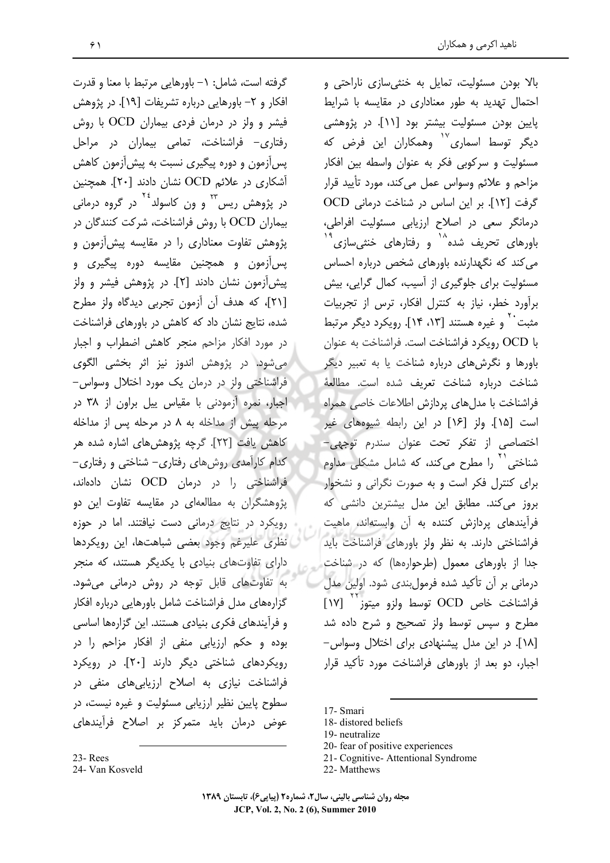گرفته است، شامل: ١– باورهایی مرتبط با معنا و قدرت افكار و ٢– باورهايي درباره تشريفات [١٩]. در پژوهش فیشر و ولز در درمان فردی بیماران OCD با روش رفتاری- فراشناخت، تمامی بیماران در مراحل پس[زمون و دوره پیگیری نسبت به پیش[زمون کاهش آشکاری در علائم OCD نشان دادند [۲۰]. همچنین در پژوهش ریس<sup>۲۲</sup> و ون کاسولد <sup>۲</sup>۰ در گروه درمانی بیماران OCD با روش فراشناخت، شرکت کنندگان در یژوهش تفاوت معناداری را در مقایسه پیش آزمون و پس|زمون و همچنین مقایسه دوره پیگیری و پیش آزمون نشان دادند [۲]. در پژوهش فیشر و ولز [۲۱]، که هدف آن آزمون تجربی دیدگاه ولز مطرح .<br>شده، نتایج نشان داد که کاهش در باورهای فراشناخت در مورد افکار مزاحم منجر کاهش اضطراب و اجبار می شود. در پژوهش اندوز نیز اثر بخشی الگوی فراشناختی ولز در درمان یک مورد اختلال وسواس-اجبار، نمره آزمودنی با مقیاس پیل براون از ۳۸ در مرحله پیش از مداخله به ۸ در مرحله پس از مداخله كاهش يافت [٢٢]. گرچه پژوهش های اشاره شده هر کدام کارآمدی روش های رفتاری– شناختی و رفتاری– فراشناختی را در درمان OCD نشان دادهاند، پژوهشگران به مطالعهای در مقایسه تفاوت این دو رویکرد در نتایج درمانی دست نیافتند. اما در حوزه نظری علیرغم وجود بعضی شباهتها، این رویکردها دارای تفاوتهای بنیادی با یکدیگر هستند، که منجر به تفاوتهای قابل توجه در روش درمانی میشود. گزارههای مدل فراشناخت شامل باورهایی درباره افکار و فرآیندهای فکری بنیادی هستند. این گزارهها اساسی بوده و حکم ارزیابی منفی از افکار مزاحم را در رویکردهای شناختی دیگر دارند [۲۰]. در رویکرد فراشناخت نیازی به اصلاح ارزیابیهای منفی در سطوح پایین نظیر ارزیابی مسئولیت و غیره نیست، در عوض درمان باید متمرکز بر اصلاح فرآیندهای

بالا بودن مسئولیت، تمایل به خنثی سازی ناراحتی و احتمال تهدید به طور معناداری در مقایسه با شرایط پایین بودن مسئولیت بیشتر بود [۱۱]. در پژوهشی دیگر توسط اسماری<sup>۱٬</sup> وهمکاران این فرض که مسئولیت و سرکوبی فکر به عنوان واسطه بین افکار مزاحم و علائم وسواس عمل می کند، مورد تأیید قرار گرفت [١٢]. بر این اساس در شناخت درمانی OCD درمانگر سعی در اصلاح ارزیابی مسئولیت افراطی، باورهای تحریف شده $^{\wedge}$  و رفتارهای خنثی٬سازی $^{\mathfrak{t}}$ می کند که نگهدارنده باورهای شخص درباره احساس مسئولیت برای جلوگیری از آسیب، کمال گرایی، بیش برآورد خطر، نیاز به کنترل افکار، ترس از تجربیات مثبت به نمیره هستند [۱۴، ۱۴]. رویکرد دیگر مرتبط  $\rm _o$ با OCD رویکرد فراشناخت است. فراشناخت به عنوان باورها و نگرشهای درباره شناخت یا به تعبیر دیگر شناخت درباره شناخت تعريف شده است. مطالعهٔ فراشناخت با مدلهای پردازش اطلاعات خاصی همراه است [۱۵]. ولز [۱۶] در این رابطه شیوههای غیر اختصاصی از تفکر تحت عنوان سندرم توجهی-شناختی<sup>۲۱</sup> را مطرح میکند، که شامل مشکلی مداوم برای کنترل فکر است و به صورت نگرانی و نشخوار بروز می کند. مطابق این مدل بیشترین دانشی که فرآیندهای پردازش کننده به آن وابستهاند، ماهیت فراشناختی دارند. به نظر ولز باورهای فراشناخت باید جدا از باورهای معمول (طرحوارهها) که در شناخت درمانی بر آن تأکید شده فرمولبندی شود. اولین مدل فراشناخت خاص OCD توسط ولزو ميتوز<sup>\'</sup> [١٧] مطرح و سپس توسط ولز تصحیح و شرح داده شد [۱۸]. در این مدل پیشنهادی برای اختلال وسواس-اجبار، دو بعد از باورهای فراشناخت مورد تأکید قرار

17- Smari

- 20- fear of positive experiences
- 21- Cognitive-Attentional Syndrome
- 22- Matthews

23-Rees

24- Van Kosveld

<sup>18-</sup>distored beliefs

<sup>19-</sup> neutralize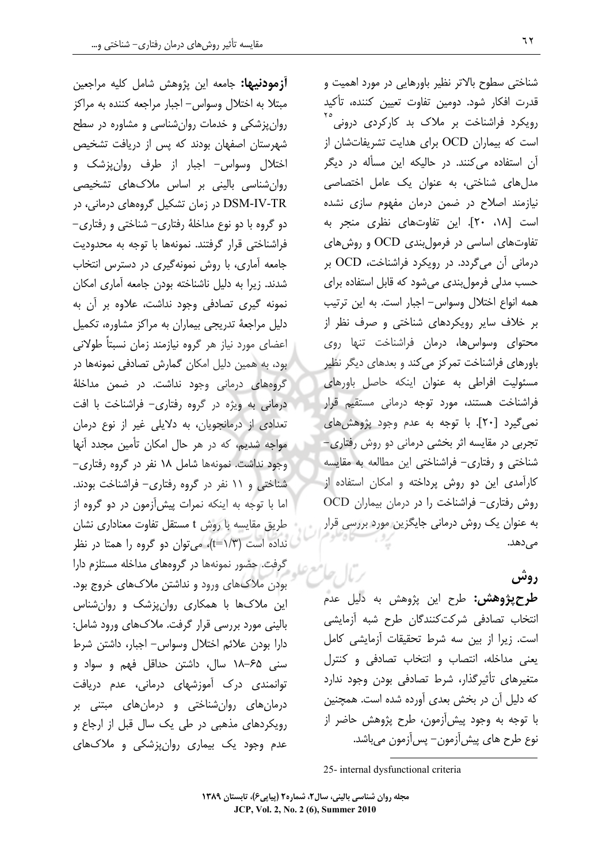**آزمودنیها:** جامعه این پژوهش شامل کلیه مراجعین مبتلا به اختلال وسواس- اجبار مراجعه كننده به مراكز روان پزشکی و خدمات روان شناسی و مشاوره در سطح شهرستان اصفهان بودند که پس از دریافت تشخیص اختلال وسواس- اجبار از طرف روانپزشک و روانشناسی بالینی بر اساس ملاکهای تشخیصی DSM-IV-TR در زمان تشکیل گروههای درمانی، در دو گروه با دو نوع مداخلهٔ رفتاری- شناختی و رفتاری-فراشناختی قرار گرفتند. نمونهها با توجه به محدودیت جامعه آماری، با روش نمونهگیری در دسترس انتخاب شدند. زیرا به دلیل ناشناخته بودن جامعه آماری امکان نمونه گیری تصادفی وجود نداشت، علاوه بر آن به دلیل مراجعهٔ تدریجی بیماران به مراکز مشاوره، تکمیل اعضای مورد نیاز هر گروه نیازمند زمان نسبتاً طولانی ہود، به همین دلیل امکان گمارش تصادفی نمونهها در گروههای درمانی وجود نداشت. در ضمن مداخلهٔ درمانی به ویژه در گروه رفتاری- فراشناخت با افت تعدادی از درمانجویان، به دلایلی غیر از نوع درمان مواجه شدیم، که در هر حال امکان تأمین مجدد آنها وجود نداشت. نمونهها شامل ١٨ نفر در گروه رفتارى-شناختی و ١١ نفر در گروه رفتاری- فراشناخت بودند. اما با توجه به اینکه نمرات پیشآزمون در دو گروه از طریق مقایسه با روش t مستقل تفاوت معناداری نشان نداده است (۱/۳)، میتوان دو گروه را همتا در نظر گرفت. حضور نمونهها در گروههای مداخله مستلزم دارا بودن ملاکهای ورود و نداشتن ملاکهای خروج بود. این ملاکها با همکاری روانپزشک و روانشناس بالینی مورد بررسی قرار گرفت. ملاکهای ورود شامل: دارا بودن علائم اختلال وسواس- اجبار، داشتن شرط سنی ۶۵–۱۸ سال، داشتن حداقل فهم و سواد و توانمندی درک آموزشهای درمانی، عدم دریافت درمانهای روانشناختی و درمانهای مبتنی بر رویکردهای مذهبی در طی یک سال قبل از ارجاع و عدم وجود یک بیماری روانپزشکی و ملاکھای

شناختی سطوح بالاتر نظیر باورهایی در مورد اهمیت و قدرت افكار شود. دومين تفاوت تعيين كننده، تأكيد .<br>رویکرد فراشناخت بر ملاک بد کارکردی درونی<sup>`</sup> است که بیماران OCD برای هدایت تشریفاتشان از آن استفاده می کنند. در حالیکه این مسأله در دیگر مدلهای شناختی، به عنوان یک عامل اختصاصی نیازمند اصلاح در ضمن درمان مفهوم سازی نشده است [١٨، ٢٠]. اين تفاوتهاى نظرى منجر به تفاوتهای اساسی در فرمول بندی OCD و روش های درمانی آن میگردد. در رویکرد فراشناخت، OCD بر حسب مدلی فرمول بندی می شود که قابل استفاده برای همه انواع اختلال وسواس- اجبار است. به این ترتیب بر خلاف سایر رویکردهای شناختی و صرف نظر از محتوای وسواسها، درمان فراشناخت تنها روی باورهای فراشناخت تمرکز می کند و بعدهای دیگر نظیر مسئولیت افراطی به عنوان اینکه حاصل باورهای فراشناخت هستند، مورد توجه درمانی مستقیم قرار نمي گيرد [٢٠]. با توجه به عدم وجود پژوهش هاي تجربی در مقایسه اثر بخشی درمانی دو روش رفتاری-شناختی و رفتاری– فراشناختی این مطالعه به مقایسه کارآمد*ی* این دو روش پرداخته و امکان استفاده از  $OCD$  روش رفتاری- فراشناخت را در درمان بیماران به عنوان یک روش درمانی جایگزین مورد بررسی قرار مے ،دھد.

## روش

**طرح پژوهش:** طرح این پژوهش به دلیل عدم انتخاب تصادفي شركت كنندگان طرح شبه أزمايشي است. زيرا از بين سه شرط تحقيقات آزمايشي كامل یعنی مداخله، انتصاب و انتخاب تصادفی و کنترل متغیرهای تأثیرگذار، شرط تصادفی بودن وجود ندارد که دلیل آن در بخش بعدی آورده شده است. همچنین با توجه به وجود پیش[زمون، طرح پژوهش حاضر از نوع طرح هاي پيش آزمون – پس آزمون مي باشد.

25- internal dysfunctional criteria

 $\mathcal{L}$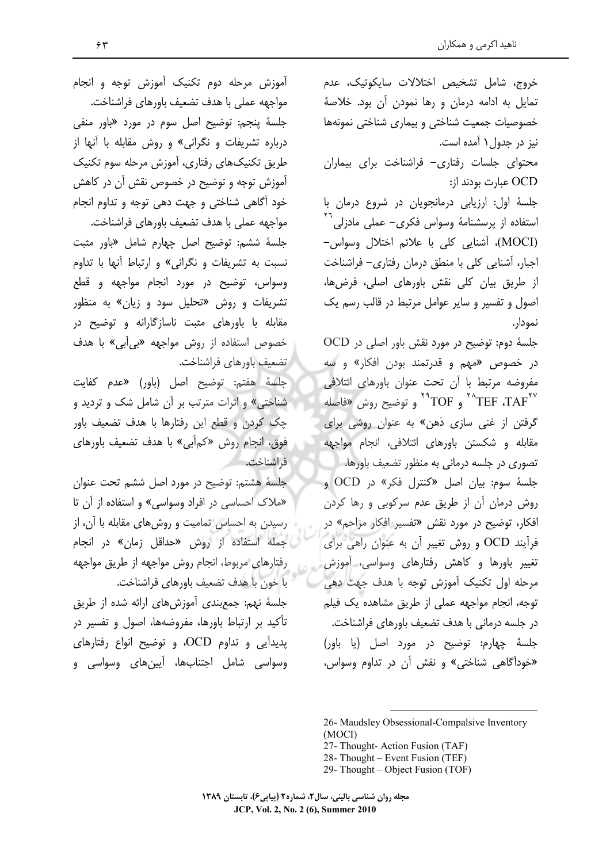خروج، شامل تشخيص اختلالات سايكوتيك، عدم تمایل به ادامه درمان و رها نمودن آن بود. خلاصهٔ خصوصیات جمعیت شناختی و بیماری شناختی نمونهها نیز در جدول ۱ آمده است. محتوای جلسات رفتاری- فراشناخت برای بیماران OCD عبارت بودند از: جلسهٔ اول: ارزیابی درمانجویان در شروع درمان با استفاده از پرسشنامهٔ وسواس فکری– عملی مادزلی<sup>۲۰</sup> (MOCI)، آشنایی کلی با علائم اختلال وسواس-اجبار، آشنایی کلی با منطق درمان رفتاری- فراشناخت

از طریق بیان کلی نقش باورهای اصلی، فرضها، اصول و تفسير و ساير عوامل مرتبط در قالب رسم يک نمودار.

جلسهٔ دوم: توضیح در مورد نقش باور اصلی در OCD در خصوص «مهم و قدرتمند بودن افکار» و سه مفروضه مرتبط با أن تحت عنوان باورهاى ائتلافى ر توضيح روش «فاصله  $^{\star\star} \mathrm{TOF}$  و  $\mathrm{TAF}^{\star\star}$ گرفتن از غنی سازی ذهن» به عنوان روشی برای مقابله و شکستن باورهای ائتلافی، انجام مواجهه

تصوری در جلسه درمانی به منظور تضعیف باورها. جلسهٔ سوم: بیان اصل «کنترل فکر» در OCD و روش درمان أن از طريق عدم سركوبي و رها كردن افکار، توضیح در مورد نقش «تفسیر افکار مزاحم» در فرأيند OCD و روش تغيير أن به عنوان راهي براي تغییر باورها و کاهش رفتارهای وسواسی، آموزش مرحله اول تكنيك أموزش توجه با هدف جهت دهي توجه، انجام مواجهه عملی از طریق مشاهده یک فیلم در جلسه درمانی با هدف تضعیف باورهای فراشناخت. جلسهٔ چهارم: توضیح در مورد اصل (یا باور) «خودآگاهی شناختی» و نقش آن در تداوم وسواس،

- 27- Thought- Action Fusion (TAF)
- 28- Thought Event Fusion (TEF)
- 29- Thought Object Fusion (TOF)

آموزش مرحله دوم تکنیک آموزش توجه و انجام مواجهه عملی با هدف تضعیف باورهای فراشناخت. جلسهٔ پنجم: توضیح اصل سوم در مورد «باور منفی درباره تشریفات و نگرانی» و روش مقابله با آنها از طریق تکنیکهای رفتاری، آموزش مرحله سوم تکنیک آموزش توجه و توضیح در خصوص نقش آن در کاهش خود أگاهی شناختی و جهت دهی توجه و تداوم انجام مواجهه عملى با هدف تضعيف باورهاى فراشناخت.

جلسهٔ ششم: توضیح اصل چهارم شامل «باور مثبت نسبت به تشریفات و نگرانی» و ارتباط أنها با تداوم وسواس، توضیح در مورد انجام مواجهه و قطع تشریفات و روش «تحلیل سود و زیان» به منظور مقابله با باورهای مثبت ناسازگارانه و توضیح در خصوص استفاده از روش مواجهه «بیأبی» با هدف تضعيف باورهاي فراشناخت.

جلسةً هفتم: توضيح اصل (باور) «عدم كفايت شناختی» و اثرات مترتب بر آن شامل شک و تردید و چک کردن و قطع این رفتارها با هدف تضعیف باور فوق، انجام روش «کمأبی» با هدف تضعیف باورهای فراشناخت.

جلسهٔ هشتم: توضیح در مورد اصل ششم تحت عنوان «ملاک احساسی در افراد وسواسی» و استفاده از آن تا رسیدن به احساس تمامیت و روشهای مقابله با آن، از جمله استفاده از روش «حداقل زمان» در انجام رفتارهای مربوط، انجام روش مواجهه از طريق مواجهه با خون با هدف تضعيف باورهاي فراشناخت.

جلّسهٔ نهم: جمعبندی اًموزشهای ارائه شده از طریق تأکید بر ارتباط باورها، مفروضهها، اصول و تفسیر در پدیدآیی و تداوم OCD، و توضیح انواع رفتارهای وسواسي شامل اجتنابها، آيينهاي وسواسي و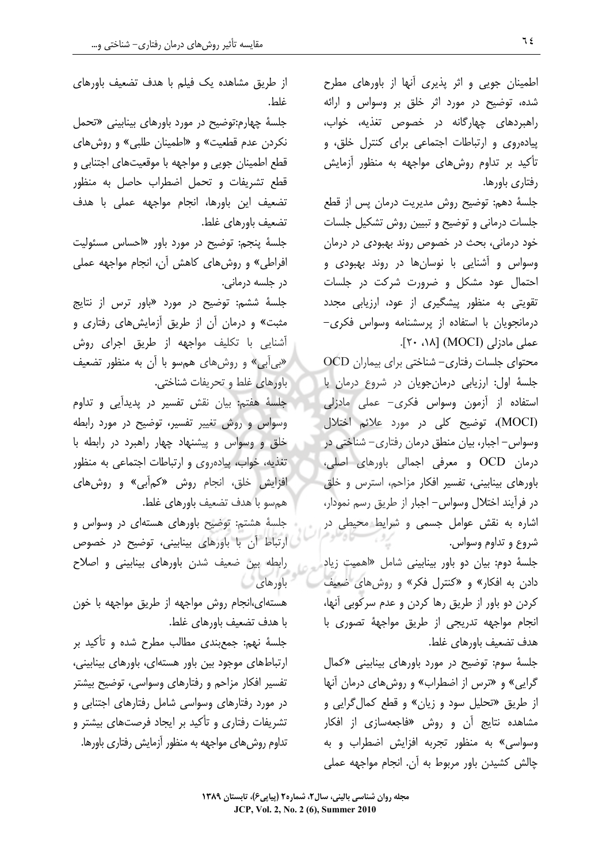اطمینان جویی و اثر پذیری آنها از باورهای مطرح شده، توضیح در مورد اثر خلق بر وسواس و ارائه راهبردهای چهارگانه در خصوص تغذیه، خواب، پیادهروی و ارتباطات اجتماعی برای کنترل خلق، و تأکید بر تداوم روشهای مواجهه به منظور أزمایش رفتاری باورها.

جلسهٔ دهم: توضیح روش مدیریت درمان پس از قطع جلسات درمانی و توضیح و تبیین روش تشکیل جلسات خود درمانی، بحث در خصوص روند بهبودی در درمان وسواس و آشنایی با نوسانها در روند بهبودی و احتمال عود مشكل و ضرورت شركت در جلسات تقویتی به منظور پیشگیری از عود، ارزیابی مجدد درمانجویان با استفاده از پرسشنامه وسواس فکری– عملی مادزلی (MOCI) [۱۸، ۲۰].

ocD محتوای جلسات رفتاری- شناختی برای بیماران جلسة اول: ارزيابي درمان جويان در شروع درمان با استفاده از آزمون وسواس فكرى- عملى مادزلى (MOCI)، توضيح كلى در مورد علائم اختلال وسواس – اجبار، بیان منطق درمان رفتاری – شناختی در درمان OCD و معرفی اجمالی باورهای اصلی، باورهای بینابینی، تفسیر افکار مزاحم، استرس و خلق در فرآیند اختلال وسواس- اجبار از طریق رسم نمودار، اشاره به نقش عوامل جسمی و شرایط محیطی در شروع و تداوم وسواس.

جلسهٔ دوم: بیان دو باور بینابینی شامل «اهمیت زیاد دادن به افکار» و «کنترل فکر» و روشهای ضعیف كردن دو باور از طريق رها كردن و عدم سركوبي آنها، انجام مواجهه تدریجی از طریق مواجههٔ تصوری با هدف تضعيف باورهاي غلط.

جلسهٔ سوم: توضیح در مورد باورهای بینابینی «کمال گرایی» و «ترس از اضطراب» و روشهای درمان آنها از طريق «تحليل سود و زيان» و قطع كمال گرايي و مشاهده نتایج آن و روش «فاجعهسازی از افکار وسواسی» به منظور تجربه افزایش اضطراب و به چالش کشیدن باور مربوط به آن. انجام مواجهه عملی

از طریق مشاهده یک فیلم با هدف تضعیف باورهای غلط.

جلسهٔ چهارم:توضیح در مورد باورهای بینابینی «تحمل نکردن عدم قطعیت» و «اطمینان طلبی» و روشهای قطع اطمینان جویی و مواجهه با موقعیتهای اجتنابی و قطع تشریفات و تحمل اضطراب حاصل به منظور تضعيف اين باورها، انجام مواجهه عملي با هدف تضعیف باورهای غلط.

جلسهٔ پنجم: توضیح در مورد باور «احساس مسئولیت افراطی» و روشهای کاهش آن، انجام مواجهه عملی در جلسه درمانی.

جلسهٔ ششم: توضیح در مورد «باور ترس از نتایج مثبت» و درمان آن از طریق آزمایشهای رفتاری و آشنایی با تکلیف مواجهه از طریق اجرا*ی* روش «بیأبی» و روشهای همسو با أن به منظور تضعیف باورهای غلط و تحریفات شناختی.

جلسهٔ هفتم: بیان نقش تفسیر در پدیدآیی و تداوم وسواس و روش تغییر تفسیر، توضیح در مورد رابطه خلق و وسواس و پیشنهاد چهار راهبرد در رابطه با تغذیه، خواب، پیادهروی و ارتباطات اجتماعی به منظور افزایش خلق، انجام روش «کم|ٔبی» و روشها*ی* هم سو با هدف تضعيف باورهاى غلط.

جلسهٔ هشتم: توضیح باورهای هستهای در وسواس و ارتباط آن با باورهای بینابینی، توضیح در خصوص رابطه بین ضعیف شدن باورهای بینابینی و اصلاح باورهای

هستهای،انجام روش مواجهه از طریق مواجهه با خون با هدف تضعيف باورهاي غلط.

جلسهٔ نهم: جمعبندی مطالب مطرح شده و تأکید بر ارتباطهای موجود بین باور هستهای، باورهای بینابینی، تفسیر افکار مزاحم و رفتارهای وسواسی، توضیح بیشتر در مورد رفتارهای وسواسی شامل رفتارهای اجتنابی و تشریفات رفتاری و تأکید بر ایجاد فرصتهای بیشتر و تداوم روشهای مواجهه به منظور آزمایش رفتاری باورها.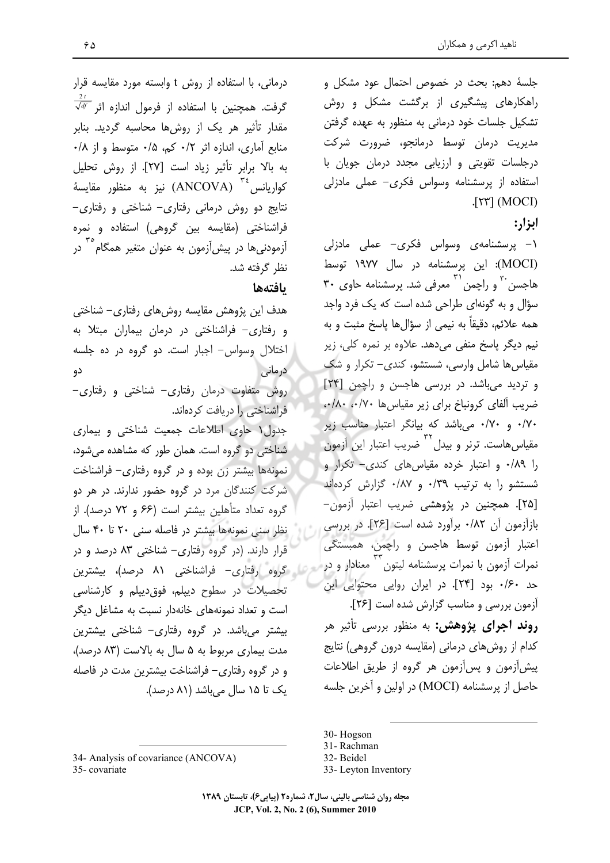جلسهٔ دهم: بحث در خصوص احتمال عود مشکل و راهکارهای پیشگیری از برگشت مشکل و روش تشکیل جلسات خود درمانی به منظور به عهده گرفتن مدیریت درمان توسط درمانجو، ضرورت شرکت درجلسات تقویتی و ارزیابی مجدد درمان جویان با استفاده از پرسشنامه وسواس فکری- عملی مادزلی  $[\uparrow\uparrow\uparrow]$  (MOCI)

ابزار:

۱– پرسشنامه*ی* وسواس فکری- عملی مادزلی (MOCI): این پرسشنامه در سال ۱۹۷۷ توسط هاجسن به دراچمن <sup>۳۰</sup> معرفی شد. پرسشنامه حاوی ۳۰ سؤال و به گونهای طراحی شده است که یک فرد واجد همه علائم، دقيقاً به نيمي از سؤالها ياسخ مثبت و به نيم ديگر ياسخ منفي مي دهد. علاوه بر نمره کلي، زير مقیاس ها شامل وارسی، شستشو، کندی – تکرار و شک و تردید میباشد. در بررسی هاجسن و راچمن [۲۴] ضريب آلفاى كرونباخ براى زير مقياس ها ٠/٨٠،٠/٨٠، ۰/۷۰ و ۰/۷۰ میباشد که بیانگر اعتبار مناسب زیر مقیاس هاست. ترنر و بیدل<sup>۳۲</sup> ضریب اعتبار این آزمون را ۰/۸۹ و اعتبار خرده مقیاس های کندی- تکرار و شستشو را به ترتیب ۰/٣٩ و ٠/٨٧ گزارش کردهاند [٢۵]. همچنین در پژوهشی ضریب اعتبار آزمون-بازآزمون آن ٠/٨٢ برآورد شده است [٢۶]. در بررسي اعتبار آزمون توسط هاجسن و راچمن، همبستگی نمرات آزمون با نمرات پرسشنامه لیتون<sup>۳۳</sup> معنادار و در حد ١۶٠ بود [٢۴]. در ايران روايي محتوايي اين آزمون بررسی و مناسب گزارش شده است [۲۶]. روند اجرای پژوهش: به منظور بررسی تأثیر هر كدام از روشهاى درمانى (مقايسه درون گروهى) نتايج پیش آزمون و پس آزمون هر گروه از طریق اطلاعات حاصل از پرسشنامه (MOCI) در اولین و آخرین جلسه

30-Hogson

33- Leyton Inventory

درمانی، با استفاده از روش t وابسته مورد مقایسه قرار  $\frac{1}{\sqrt{d\ell}}$  گرفت. همچنین با استفاده از فرمول اندازه اثر مقدار تأثیر هر یک از روشها محاسبه گردید. بنابر منابع آماري، اندازه اثر ٠/٢ كم، ٠/٥ متوسط و از ٠/٨ به بالا برابر تأثير زياد است [٢٧]. از روش تحليل كواريانس <sup>۳٤</sup> (ANCOVA) نيز به منظور مقايسهٔ  $-$ نتایج دو روش درمانی رفتاری $-$  شناختی و رفتاری فراشناختی (مقایسه بین گروهی) استفاده و نمره آزمودنیها در پیشآزمون به عنوان متغیر همگام<sup>۲°</sup> در نظر گرفته شد.

## بافتهها

هدف این پژوهش مقایسه روشهای رفتاری– شناختی و رفتاری- فراشناختی در درمان بیماران مبتلا به اختلال وسواس- اجبار است. دو گروه در ده جلسه درمانی دو روش متفاوت درمان رفتاری– شناختی و رفتاری– فراشناختی را دریافت کردهاند. جدول ۱ حاوی اطلاعات جمعیت شناختی و بیماری شناختی دو گروه است. همان طور که مشاهده می شود، .<br>نمونهها بیشتر زن بوده و در گروه رفتاری- فراشناخت شرکت کنندگان مرد در گروه حضور ندارند. در هر دو گروه تعداد متأهلین بیشتر است (۶۶ و ۷۲ درصد). از نظر سنی نمونهها بیشتر در فاصله سنی ۲۰ تا ۴۰ سال قرار دارند. (در گروه رفتاری- شناختی ۸۳ درصد و در ه از گروه رفتاری- فراشناختی ۸۱ درصد)، بیشترین تحصیلات در سطوح دیپلم، فوق دیپلم و کارشناسی است و تعداد نمونههای خانهدار نسبت به مشاغل دیگر بیشتر میباشد. در گروه رفتاری- شناختی بیشترین مدت بیماری مربوط به ۵ سال به بالاست (۸۳ درصد)، و در گروه رفتاری– فراشناخت بیشترین مدت در فاصله یک تا ۱۵ سال میباشد (۸۱ درصد).

35-covariate

<sup>31-</sup>Rachman

<sup>32-</sup> Beidel

<sup>34-</sup> Analysis of covariance (ANCOVA)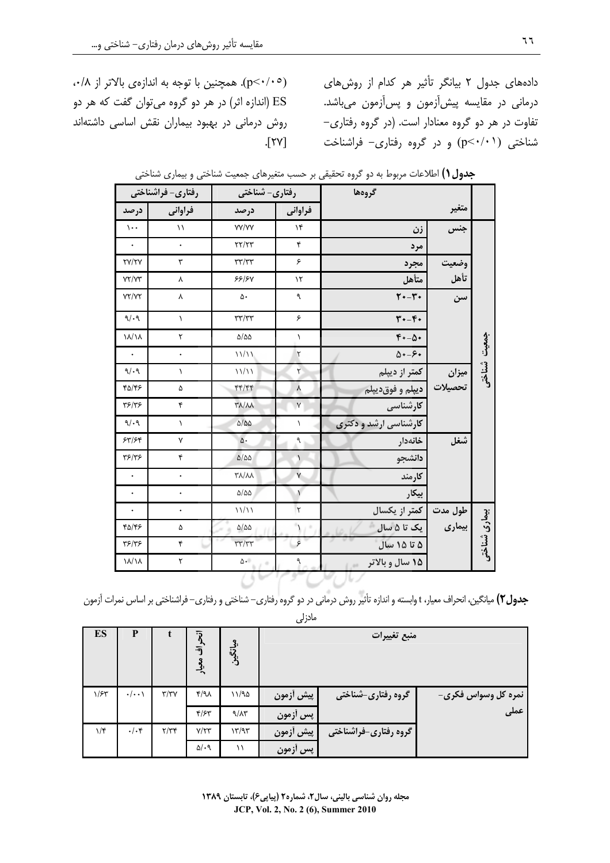دادههای جدول ٢ بیانگر تأثیر هر کدام از روشهای درمانی در مقایسه پیش[زمون و پس[زمون میباشد. تفاوت در هر دو گروه معنادار است. (در گروه رفتاری-شناختی (p<۰/۰۱) و در گروه رفتاری- فراشناخت

(p<٠/٠٥). همچنین با توجه به اندازهی بالاتر از ۰/۸، ES (اندازه اثر) در هر دو گروه میتوان گفت که هر دو روش درمانی در بهبود بیماران نقش اساسی داشتهاند  $[\Upsilon \Upsilon]$ .

|                | گروهها           |                                      |                      | رفتاری- شناختی        | رفتاری- فراشناختی  |                      |  |
|----------------|------------------|--------------------------------------|----------------------|-----------------------|--------------------|----------------------|--|
|                | متغير            |                                      | فراواني              | درصد                  | فراوانی            | درصد                 |  |
|                | جنس              | زن                                   | $\lambda$            | <b>YY/YY</b>          | $\setminus$        | $\mathcal{L}$ .      |  |
| جمعيت<br>شاختى |                  | مرد                                  | ۴                    | $\tau\tau/\tau\tau$   | $\bullet$          | $\ddot{\phantom{1}}$ |  |
|                | وضعيت            | مجرد                                 | ۶                    | $\tau\tau/\tau\tau$   | ٣                  | <b>TY/TY</b>         |  |
|                | تأهل             | متأهل                                | $\mathcal{N}$        | 55/5V                 | Υ                  | YY/YY                |  |
|                | سن               | $\mathbf{Y} \cdot -\mathbf{Y} \cdot$ | ٩                    | ۵۰                    | ۷                  | YY/YY                |  |
|                |                  | $\mathbf{r} \cdot -\mathbf{r} \cdot$ | ۶                    | $\tau\tau/\tau\tau$   | $\lambda$          | 9/19                 |  |
|                |                  | $f*-\Delta$                          | $\lambda$            | $\Delta/\Delta\Delta$ | $\mathbf{\bar{r}}$ | ۱۸/۱۸                |  |
|                |                  | $\Delta \cdot -\epsilon \cdot$       | ٢                    | 11/11                 | $\bullet$          | $\ddot{\phantom{1}}$ |  |
|                | ميزان<br>تحصيلات | کمتر از دیپلم                        | ٢                    | 11/11                 | ١                  | 9/19                 |  |
|                |                  | ديپلم و فوقديپلم                     | ٨                    | 44/44                 | ۵                  | ۴۵/۴۶                |  |
|                |                  | <b>کارشناسی</b>                      | $\mathsf{Y}$         | <b>TA/AA</b>          | ۴                  | ٣۶/٣۶                |  |
|                |                  | کارشناسی ارشد و دکتری                | ١                    | $\Delta/\Delta\Delta$ | $\lambda$          | 9/49                 |  |
|                | شغل              | خانەدار                              | ٩                    | $\Delta$              | Y                  | 54/54                |  |
|                |                  | دانشجو                               | $\lambda$            | $\Delta/\Delta\Delta$ | ۴                  | Y5/Y5                |  |
|                |                  | كارمند                               | $\mathsf{Y}$         | <b>٣٨/٨٨</b>          | $\bullet$          | $\,$ .               |  |
|                |                  | بيكار                                | $\bar{1}$            | $\Delta/\Delta\Delta$ | $\bullet$          | $\ddot{\phantom{1}}$ |  |
|                | طول مدت          | كمتر از يكسال                        | $\breve{\mathbf{y}}$ | 11/11                 |                    | $\ddot{\phantom{a}}$ |  |
| بیماری شناختی  | بیماری           | ∥ یک تا ۵ سال                        | $\lambda$            | $\Delta/\Delta\Delta$ | ۵                  | 42/45                |  |
|                |                  | ۵ تا ۱۵ سال                          | ۶                    | $\tau\tau/\tau\tau$   | ۴                  | 75/75                |  |
|                |                  | ۱۵ سال و بالاتر                      | ۹                    | $\Delta$ -            | ٢                  | ۱۸/۱۸                |  |
|                |                  |                                      |                      |                       |                    |                      |  |

جدول ( ) اطلاعات مربوط به دو گروه تحقیقی بر حسب متغیرهای جمعیت شناختی و بیماری شناختی

جدول ۲) میانگین، انحراف معیار، t وابسته و اندازه تأثیر روش درمانی در دو گروه رفتاری– شناختی و رفتاری– فراشناختی بر اساس نمرات آزمون  $\ln$ 

|                     |                       | --ری      |                     |                      |                   |                    |                  |
|---------------------|-----------------------|-----------|---------------------|----------------------|-------------------|--------------------|------------------|
| منبع تغييرات        |                       |           | $\frac{3}{2}$<br>د∙ | أتحراف<br>معيار      |                   | P                  | ES               |
| نمره کل وسواس فکری- | گروه رفتاری-شناختی    | پیش أزمون | ۱۱/۹۵               | f/A                  | $\tau/\tau\gamma$ | $\cdot/\cdot\cdot$ | 1/FY             |
| عملى                |                       | پس أزمون  | 9/17                | F/FY                 |                   |                    |                  |
|                     | گروه رفتاری-فراشناختی | پیش أزمون | $\frac{1}{\gamma}$  | $Y/\Upsilon\Upsilon$ | $\frac{1}{\pi}$   | $\cdot/\cdot$ ۴    | $1/\mathfrak{r}$ |
|                     |                       | پس أزمون  | ۱۱                  | $\Delta$ /.9         |                   |                    |                  |

مجله روان شناسی بالینی، سال۲، شماره۲ (پیاپی۶)، تابستان ۱۳۸۹ JCP, Vol. 2, No. 2 (6), Summer 2010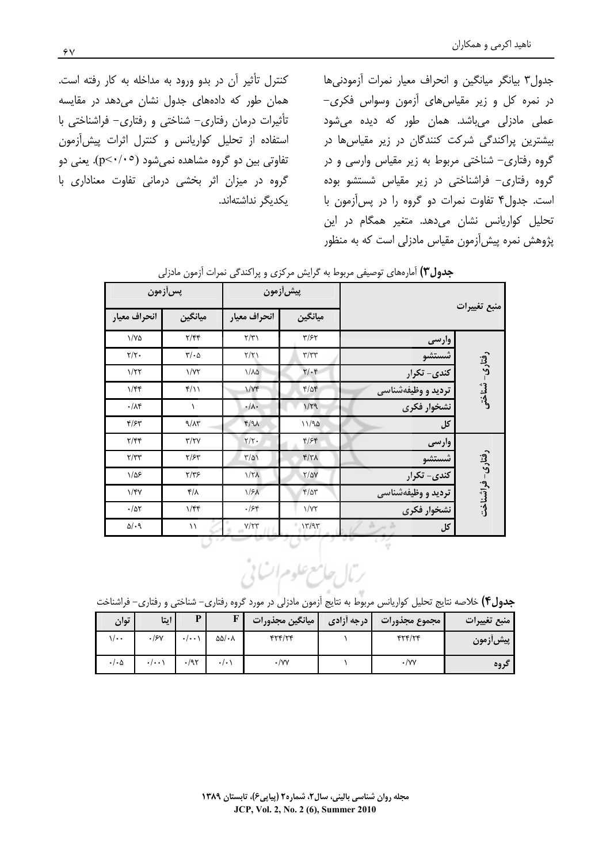جدول ٣ بيانكر ميانكين و انحراف معيار نمرات آزمودنى ها در نمره کل و زیر مقیاس های آزمون وسواس فکری-عملی مادزلی میباشد. همان طور که دیده میشود بیشترین پراکندگی شرکت کنندگان در زیر مقیاس ها در گروه رفتاری– شناختی مربوط به زیر مقیاس وارسی و در گروه رفتاری– فراشناختی در زیر مقیاس شستشو بوده است. جدول۴ تفاوت نمرات دو گروه را در پس آزمون با تحلیل کواریانس نشان میدهد. متغیر همگام در این پژوهش نمره پیش[زمون مقیاس مادزلی است که به منظور

کنترل تأثیر آن در بدو ورود به مداخله به کار رفته است. همان طور که دادههای جدول نشان میدهد در مقایسه تأثیرات درمان رفتاری- شناختی و رفتاری- فراشناختی با استفاده از تحلیل کواریانس و کنترل اثرات پیش آزمون تفاوتی بین دو گروه مشاهده نمیشود (p<۰/۰۰). یعنی دو گروه در میزان اثر بخشی درمانی تفاوت معناداری با يكديگر نداشتهاند.

|                  |                    | پيش[زمون                         |                       | پسآزمون                       |                                        |  |
|------------------|--------------------|----------------------------------|-----------------------|-------------------------------|----------------------------------------|--|
| منبع تغييرات     |                    | ميانگين                          | انحراف معيار          | ميانگين                       | انحراف معيار                           |  |
|                  | وارسى              | $\tau$ /۶۲                       | $\Upsilon/\Upsilon$   | $\frac{1}{\sqrt{2}}$          | $\frac{1}{2}$                          |  |
|                  | شستشو              | $\tau/\tau\tau$                  | $\frac{1}{\sqrt{2}}$  | $\Gamma/\cdot \Delta$         | $\tau/\tau$ .                          |  |
| رفتارى- تسناختى  | کندی- تکرار        | $\mathbf{Y}/\cdot\mathbf{y}$     | $1/\lambda\Delta$     | 1/YY                          | 1/T                                    |  |
|                  | تردید و وظیفهشناسی | $f/\Delta f$                     | 1/Vf                  | $f/\cup$                      | 1/ff                                   |  |
|                  | نشخوار فكرى        | 1/79                             | $\cdot/\lambda$ .     | $\lambda$                     | $\cdot/\lambda$ ۴                      |  |
| کل               |                    | 11/90                            | $f/9\lambda$          | 9/17                          | $\mathcal{F}/\mathcal{F}^{\mathbf{w}}$ |  |
|                  | وارسى              | $f/\mathcal{F}$                  | $\Upsilon/\Upsilon$ . | $\tau/\tau\gamma$             | $\mathbf{Y}/\mathbf{Y}$                |  |
|                  | شستشو              | Y/Y                              | $\frac{1}{2}$         | $Y/\mathcal{F}Y$              | $\tau/\tau\tau$                        |  |
| رفتارى- فراشناخت | کندی- تکرار        | $Y/\Delta Y$                     | $1/7\lambda$          | $Y/Y$ ۶                       | $1/\Delta$ ۶                           |  |
|                  | تردید و وظیفهشناسی | $\mathcal{F}/\Delta \mathcal{F}$ | 1/5 <sub>A</sub>      | $\mathcal{F}/\Lambda$         | $1/\gamma\gamma$                       |  |
|                  | نشخوار فكرى        | 1/YY                             | .758                  | $1/\mathfrak{f} \mathfrak{f}$ | $\cdot/\Delta\Upsilon$                 |  |
| کل               | $h \times h$       | 17/97                            | Y/YY                  | ۱۱                            | $\Delta/\cdot$ 9                       |  |

ج**دول۳)** آمارههای توصیفی مربوط به گرایش مرکزی و پراکندگی نمرات آزمون مادزلی

ربال حامع علوم ات پی

ج**دول۴)** خلاصه نتایج تحلیل کواریانس مربوط به نتایج آزمون مادزلی در مورد گروه رفتاری– شناختی و رفتاری– فراشناخت

| <b>توان</b>          | ايتا                | $\mathbf{r}$        | п                           | ميانگين مجذورات | ا درجه آزادی | مجموع مجذورات | منبع تغييرات    |
|----------------------|---------------------|---------------------|-----------------------------|-----------------|--------------|---------------|-----------------|
| ۰۰/۱                 | $\cdot$ /۶۷         | $\cdot$ / $\cdot$ + | $\Delta\Delta/\cdot\Lambda$ |                 |              |               | <b>پیش زمون</b> |
| $\cdot/\cdot \Delta$ | $\cdot$ / $\cdot$ ) | /97                 |                             |                 |              | ۰/۷۷          | دروه            |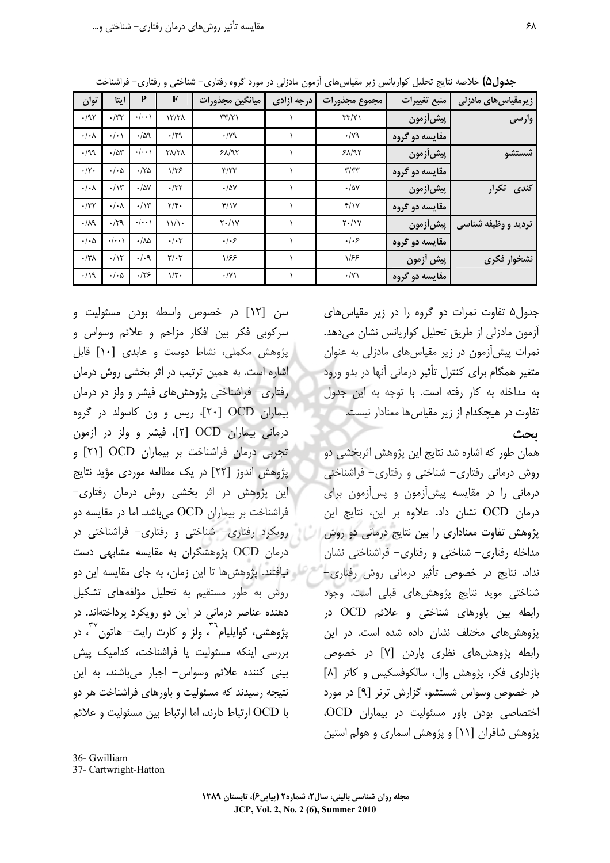| زیرمقیاس های مادزلی | منبع تغييرات    | مجموع مجذورات        | درجه أزادي | ميانگين مجذورات  | F                            | P                     | ايتا                 | توان                 |
|---------------------|-----------------|----------------------|------------|------------------|------------------------------|-----------------------|----------------------|----------------------|
| وارسى               | پیش[زمون        | $\tau\tau/\tau$      |            | $\tau\tau/\tau$  | 12/71                        | $\cdot/\cdot\cdot$    | $\cdot$ /٣٢          | .197                 |
|                     | مقايسه دو گروه  | $\cdot$ / $\gamma$ ۹ |            | $\cdot$ /yq      | $\cdot$ /۲۹                  | $\cdot/\Delta$ 9      | $\cdot/\cdot$        | $\cdot/\cdot \wedge$ |
| شستشو               | <b>پیش[زمون</b> | 51/97                |            | 51/97            | <b>TA/TA</b>                 | $\cdot/\cdot\cdot$    | .78                  | .199                 |
|                     | مقايسه دو گروه  | $\tau/\tau\tau$      |            | $\tau/\tau\tau$  | $1/\tau$ ۶                   | .170                  | $\cdot/\cdot \Delta$ | $\cdot/\tau$ .       |
| کندی- تکرار         | پیش[زمون        | $\cdot$ /۵۷          |            | $\cdot/\Delta V$ | $\cdot$ /٣٢                  | $\cdot$ /۵۷           | $\cdot/\gamma$       | $\cdot/\cdot \wedge$ |
|                     | مقايسه دو گروه  | f/Y                  |            | f/Y              | $\tau/\mathfrak{r}$ .        | $\cdot/\gamma$        | $\cdot/\cdot \wedge$ | $\cdot$ /٣٢          |
| تردید و وظیفه شناسی | پيش[زمون        | $Y \cdot / Y$        |            | $Y \cdot / Y$    | 11/1                         | $\cdot/\cdot\cdot$    | .179                 | $\cdot/\lambda$ 9    |
|                     | مقايسه دو گروه  | .   . 5              |            | .   . 5          | $\cdot/\cdot$ ۳              | $\cdot/\lambda\Delta$ | $\cdot/\cdot\cdot$   | $\cdot/\cdot \Delta$ |
| نشخوار فكرى         | پیش أزمون       | 1/55                 |            | 1/55             | $\mathbf{r}/\cdot\mathbf{r}$ | $\cdot/\cdot$ 9       | .11                  | $\cdot$ /٣٨          |
|                     | مقايسه دو گروه  | $\cdot/\gamma$       |            | $\cdot/\gamma$   | $1/\tilde{r}$ .              | .175                  | $\cdot/\cdot \Delta$ | .19                  |

ج**دول۵)** خلاصه نتایج تحلیل کواریانس زیر مقیاسهای آزمون مادزلی در مورد گروه رفتاری– شناختی و رفتاری– فراشناخت

جدول۵ تفاوت نمرات دو گروه را در زیر مقیاس های آزمون مادزلی از طریق تحلیل کواریانس نشان میدهد. نمرات پیشآزمون در زیر مقیاس های مادزلی به عنوان متغیر همگام برای کنترل تأثیر درمانی أنها در بدو ورود به مداخله به كار رفته است. با توجه به اين جدول تفاوت در هیچکدام از زیر مقیاس ها معنادار نیست.

ىحث

همان طور که اشاره شد نتایج این پژوهش اثربخشی دو روش درمانی رفتاری– شناختی و رفتاری– فراشناختی درمانی را در مقایسه پیشآزمون و پسآزمون برای درمان OCD نشان داد. علاوه بر این، نتایج این پژوهش تفاوت معناداری را بین نتایج درمانی دو روش مداخله رفتاری– شناختی و رفتاری– فراشناختی نشان نداد. نتایج در خصوص تأثیر درمانی روش رفتاری-شناختی موید نتایج پژوهش های قبلی است. وجود رابطه بین باورهای شناختی و علائم OCD در یژوهش های مختلف نشان داده شده است. در این رابطه پژوهشهای نظری پاردن [۷] در خصوص بازداری فکر، پژوهش وال، سالکوفسکیس و کاتر [۸] در خصوص وسواس شستشو، گزارش ترنر [۹] در مورد اختصاصی بودن باور مسئولیت در بیماران OCD، پژوهش شافران [۱۱] و پژوهش اسماری و هولم استین

سن [۱۲] در خصوص واسطه بودن مسئولیت و سرکوبی فکر بین افکار مزاحم و علائم وسواس و یژوهش مکملی، نشاط دوست و عابدی [۱۰] قابل اشاره است. به همین ترتیب در اثر بخشی روش درمان رفتاری– فراشناختی پژوهشهای فیشر و ولز در درمان بیماران OCD [۲۰]، ریس و ون کاسولد در گروه درمانی بیماران OCD [۲]، فیشر و ولز در آزمون تجربی درمان فراشناخت بر بیماران OCD [۲۱] و پژوهش اندوز [۲۲] در یک مطالعه موردی مؤید نتایج این پژوهش در اثر بخشی روش درمان رفتاری-فراشناخت بر بیماران OCD می باشد. اما در مقایسه دو رویکرد رفتاری- شناختی و رفتاری- فراشناختی در درمان OCD پژوهشگران به مقایسه مشابهی دست م ایستافتند. پژوهش ها تا این زمان، به جای مقایسه این دو روش به طور مستقیم به تحلیل مؤلفههای تشکیل دهنده عناصر درمانی در این دو رویکرد پرداختهاند. در پژوهشی، گوایلیام به ولز و کارت رایت– هاتون آ ، در بررسی اینکه مسئولیت یا فراشناخت، کدامیک پیش بيني كننده علائم وسواس- اجبار مي باشند، به اين نتیجه رسیدند که مسئولیت و باورهای فراشناخت هر دو با OCD ارتباط دارند، اما ارتباط بين مسئوليت و علائم

<sup>36-</sup> Gwilliam

<sup>37-</sup> Cartwright-Hatton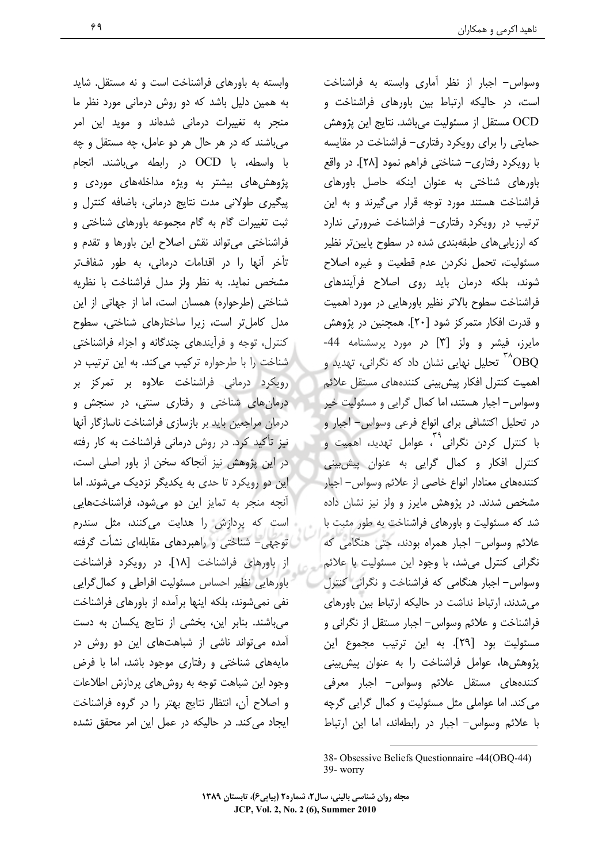وابسته به باورهای فراشناخت است و نه مستقل. شاید به همین دلیل باشد که دو روش درمانی مورد نظر ما منجر به تغییرات درمانی شدهاند و موید این امر می باشند که در هر حال هر دو عامل، چه مستقل و چه با واسطه، با OCD در رابطه میباشند. انجام پژوهشهای بیشتر به ویژه مداخلههای موردی و پیگیری طولانی مدت نتایج درمانی، باضافه کنترل و ثبت تغییرات گام به گام مجموعه باورهای شناختی و فراشناختی می تواند نقش اصلاح این باورها و تقدم و تأخر آنها را در اقدامات درمانی، به طور شفافتر مشخص نماید. به نظر ولز مدل فراشناخت با نظریه شناختی (طرحواره) همسان است، اما از جهاتی از این مدل کامل تر است، زیرا ساختارهای شناختی، سطوح کنترل، توجه و فرآیندهای چندگانه و اجزاء فراشناختی شناخت را با طرحواره ترکیب میکند. به این ترتیب در رویکرد درمانی فراشناخت علاوه بر تمرکز بر درمان های شناختی و رفتاری سنتی، در سنجش و درمان مراجعین باید بر بازسازی فراشناخت ناسازگار آنها نیز تأکید کرد. در روش درمانی فراشناخت به کار رفته در این پژوهش نیز آنجاکه سخن از باور اصلی است، این دو رویکرد تا حدی به یکدیگر نزدیک می شوند. اما آنچه منجر به تمایز این دو می شود، فراشناختهایی است که پردازش را هدایت میکنند، مثل سندرم توجهی- شناختی و راهبردهای مقابلهای نشأت گرفته از باورهای فراشناخت [۱۸]. در رویکرد فراشناخت باورهایی نظیر احساس مسئولیت افراطی و کمال گرایی نفی نمی شوند، بلکه اینها برآمده از باورهای فراشناخت می باشند. بنابر این، بخشی از نتایج یکسان به دست آمده میتواند ناشی از شباهتهای این دو روش در مایههای شناختی و رفتاری موجود باشد، اما با فرض وجود این شباهت توجه به روشهای پردازش اطلاعات و اصلاح آن، انتظار نتايج بهتر را در گروه فراشناخت ایجاد می کند. در حالیکه در عمل این امر محقق نشده

وسواس– اجبار از نظر آماری وابسته به فراشناخت است، در حالیکه ارتباط بین باورهای فراشناخت و OCD مستقل از مسئوليت ميباشد. نتايج اين پژوهش حمایتی را برای رویکرد رفتاری- فراشناخت در مقایسه با رویکرد رفتاری– شناختی فراهم نمود [۲۸]. در واقع باورهای شناختی به عنوان اینکه حاصل باورهای فراشناخت هستند مورد توجه قرار می گیرند و به این ترتیب در رویکرد رفتاری- فراشناخت ضرورتی ندارد که ارزیابی های طبقهبندی شده در سطوح پایینتر نظیر مسئوليت، تحمل نكردن عدم قطعيت و غيره اصلاح شوند، بلکه درمان باید روی اصلاح فرآیندهای فراشناخت سطوح بالاتر نظير باورهايي در مورد اهميت و قدرت افكار متمركز شود [٢٠]. همچنين در پژوهش مایرز، فیشر و ولز [۳] در مورد پرسشنامه 44-تحلیل نهایی نشان داد که نگرانی، تهدید و  $\rm ^{17}O\,$ اهمیت کنترل افکار پیش بینی کنندههای مستقل علائم وسواس- اجبار هستند، اما کمال گرایی و مسئولیت خیر در تحلیل اکتشافی برای انواع فرعی وسواس- اجبار و با کنترل کردن نگرانی<sup>۲۹</sup>، عوامل تهدید، اهمیت و کنترل افکار و کمال گرایی به عنوان پیش بینی کنندههای معنادار انواع خاصی از علائم وسواس- اجبار مشخص شدند. در پژوهش مایرز و ولز نیز نشان داده شد که مسئولیت و باورهای فراشناخت به طور مثبت با علائم وسواس- اجبار همراه بودند، حتى هنگامى كه نگرانی کنترل میشد، با وجود این مسئولیت با علائم وسواس- اجبار هنگامی که فراشناخت و نگرانی کنترل می شدند، ارتباط نداشت در حالیکه ارتباط بین باورهای فراشناخت و علائم وسواس- اجبار مستقل از نگرانی و مسئوليت بود [٢٩]. به اين ترتيب مجموع اين پژوهش ها، عوامل فراشناخت را به عنوان پیش بینی کنندههای مستقل علائم وسواس- اجبار معرفی می کند. اما عواملی مثل مسئولیت و کمال گرایی گرچه با علائم وسواس- اجبار در رابطهاند، اما این ارتباط

<sup>38-</sup> Obsessive Beliefs Questionnaire -44(OBQ-44) 39- worry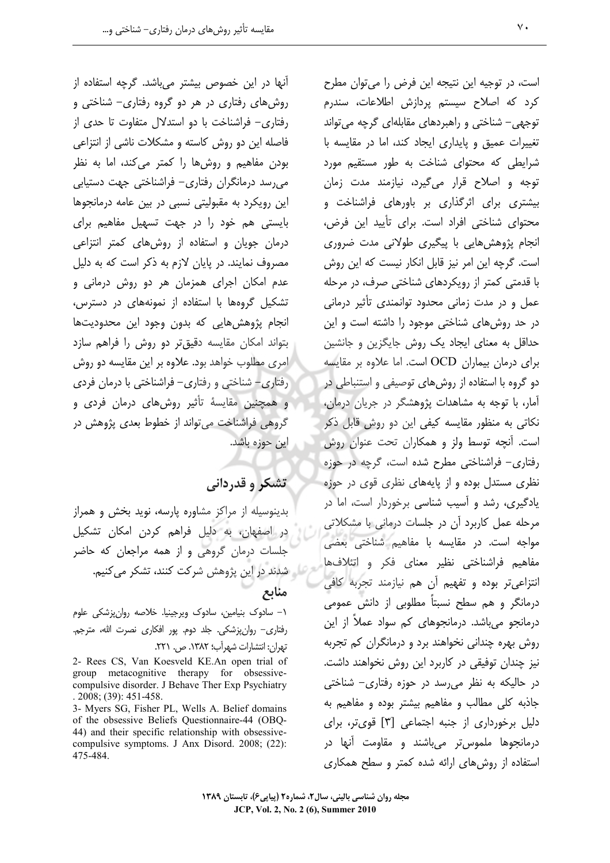آنها در این خصوص بیشتر میباشد. گرچه استفاده از روشهای رفتاری در هر دو گروه رفتاری- شناختی و رفتاری- فراشناخت با دو استدلال متفاوت تا حدی از فاصله این دو روش کاسته و مشکلات ناشی از انتزاعی بودن مفاهیم و روشها را کمتر میکند، اما به نظر می رسد درمانگران رفتاری– فراشناختی جهت دستیابی این رویکرد به مقبولیتی نسبی در بین عامه درمانجوها بایستی هم خود را در جهت تسهیل مفاهیم برای درمان جویان و استفاده از روش های کمتر انتزاعی مصروف نمایند. در پایان لازم به ذکر است که به دلیل عدم امکان اجرای همزمان هر دو روش درمانی و تشکیل گروهها با استفاده از نمونههای در دسترس، انجام پژوهش هایی که بدون وجود این محدودیتها بتواند امكان مقايسه دقيق تر دو روش را فراهم سازد امری مطلوب خواهد بود. علاوه بر این مقایسه دو روش رفتاری- شناختی و رفتاری- فراشناختی با درمان فردی و همچنین مقایسهٔ تأثیر روشهای درمان فردی و گروهی فراشناخت می تواند از خطوط بعدی پژوهش در این حوزه باشد.

## تشکر و قدردانی

بدینوسیله از مراکز مشاوره پارسه، نوید بخش و همراز در اصفهان، به دلیل فراهم کردن امکان تشکیل جلسات درمان گروهی و از همه مراجعان که حاضر 79 - شدند در این پژوهش شرکت کنند، تشکر میکنیم. منابع

١– سادوک بنیامین، سادوک ویرجینیا. خلاصه روانپزشکی علوم رفتاری– روانپزشکی. جلد دوم. پور افکاری نصرت الله، مترجم. تهران: انتشارات شهرآب؛ ١٣٨٢. ص. ٢٢١.

2- Rees CS, Van Koesveld KE.An open trial of group metacognitive therapy for obsessivecompulsive disorder. J Behave Ther Exp Psychiatry  $.2008$ ; (39): 451-458.

3- Myers SG, Fisher PL, Wells A. Belief domains of the obsessive Beliefs Questionnaire-44 (OBQ-44) and their specific relationship with obsessivecompulsive symptoms. J Anx Disord. 2008; (22): 475-484.

است، در توجیه این نتیجه این فرض را میتوان مطرح کرد که اصلاح سیستم پردازش اطلاعات، سندرم توجهي- شناختي و راهبردهاي مقابلهاي گرچه مي تواند تغییرات عمیق و پایداری ایجاد کند، اما در مقایسه با شرایطی که محتوای شناخت به طور مستقیم مورد توجه و اصلاح قرار می گیرد، نیازمند مدت زمان بیشتری برای اثرگذاری بر باورهای فراشناخت و محتوای شناختی افراد است. برای تأیید این فرض، انجام پژوهش هایی با پیگیری طولانی مدت ضروری است. گرچه این امر نیز قابل انکار نیست که این روش با قدمتی کمتر از رویکردهای شناختی صرف، در مرحله عمل و در مدت زمانی محدود توانمندی تأثیر درمانی در حد روش های شناختی موجود را داشته است و این حداقل به معنای ایجاد یک روش جایگزین و جانشین برای درمان بیماران OCD است. اما علاوه بر مقایسه دو گروه با استفاده از روشهای توصیفی و استنباطی در آمار، با توجه به مشاهدات پژوهشگر در جریان درمان، نکاتی به منظور مقایسه کیفی این دو روش قابل ذکر است. آنچه توسط ولز و همکاران تحت عنوان روش رفتاری- فراشناختی مطرح شده است، گرچه در حوزه نظری مستدل بوده و از پایههای نظری قوی در حوزه یادگیری، رشد و آسیب شناسی برخوردار است، اما در مرحله عمل کاربرد آن در جلسات درمانی با مشکلاتی مواجه است. در مقایسه با مفاهیم شناختی بعضی مفاهیم فراشناختی نظیر معنای فکر و اتئلافها انتزاعي تر بوده و تفهيم أن هم نيازمند تجربه كافي درمانگر و هم سطح نسبتاً مطلوبی از دانش عمومی درمانجو می باشد. درمانجوهای کم سواد عملاً از این روش بهره چندانی نخواهند برد و درمانگران کم تجربه نیز چندان توفیقی در کاربرد این روش نخواهند داشت. در حالیکه به نظر میرسد در حوزه رفتاری– شناختی جاذبه کلی مطالب و مفاهیم بیشتر بوده و مفاهیم به دلیل برخورداری از جنبه اجتماعی [۳] قویتر، برای درمانجوها ملموستر مىباشند و مقاومت أنها در استفاده از روش های ارائه شده کمتر و سطح همکاری